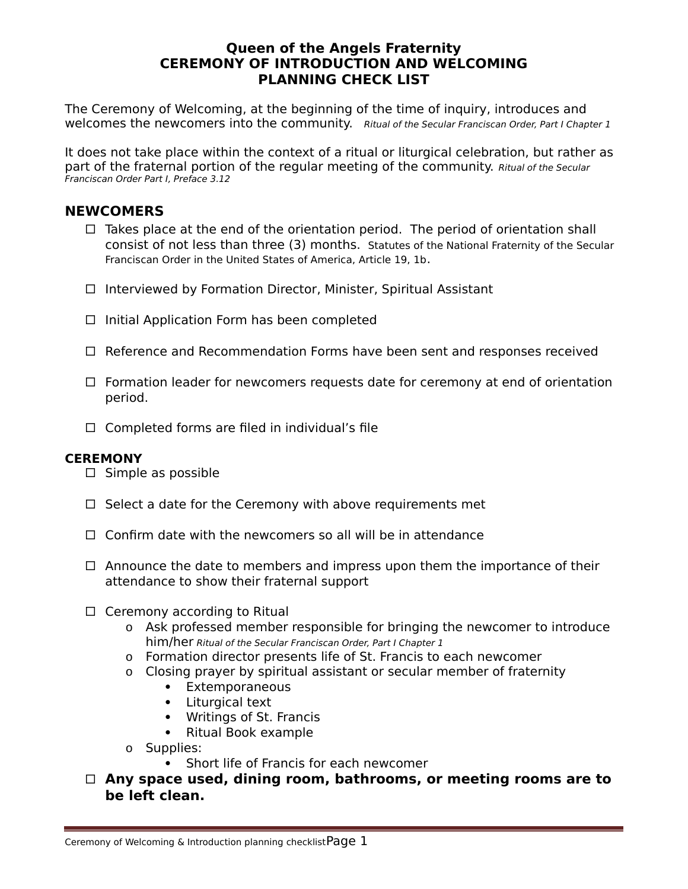## **Queen of the Angels Fraternity CEREMONY OF INTRODUCTION AND WELCOMING PLANNING CHECK LIST**

The Ceremony of Welcoming, at the beginning of the time of inquiry, introduces and welcomes the newcomers into the community. Ritual of the Secular Franciscan Order, Part I Chapter 1

It does not take place within the context of a ritual or liturgical celebration, but rather as part of the fraternal portion of the regular meeting of the community. Ritual of the Secular Franciscan Order Part I, Preface 3.12

## **NEWCOMERS**

- $\Box$  Takes place at the end of the orientation period. The period of orientation shall consist of not less than three (3) months. Statutes of the National Fraternity of the Secular Franciscan Order in the United States of America, Article 19, 1b.
- $\Box$  Interviewed by Formation Director, Minister, Spiritual Assistant
- $\Box$  Initial Application Form has been completed
- $\Box$  Reference and Recommendation Forms have been sent and responses received
- $\Box$  Formation leader for newcomers requests date for ceremony at end of orientation period.
- $\Box$  Completed forms are filed in individual's file

## **CEREMONY**

- $\square$  Simple as possible
- $\Box$  Select a date for the Ceremony with above requirements met
- $\Box$  Confirm date with the newcomers so all will be in attendance
- $\Box$  Announce the date to members and impress upon them the importance of their attendance to show their fraternal support
- $\Box$  Ceremony according to Ritual
	- o Ask professed member responsible for bringing the newcomer to introduce him/her Ritual of the Secular Franciscan Order, Part I Chapter 1
	- o Formation director presents life of St. Francis to each newcomer
	- o Closing prayer by spiritual assistant or secular member of fraternity
		- Extemporaneous
		- Liturgical text
		- Writings of St. Francis
		- Ritual Book example
	- o Supplies:
		- Short life of Francis for each newcomer
- **Any space used, dining room, bathrooms, or meeting rooms are to be left clean.**